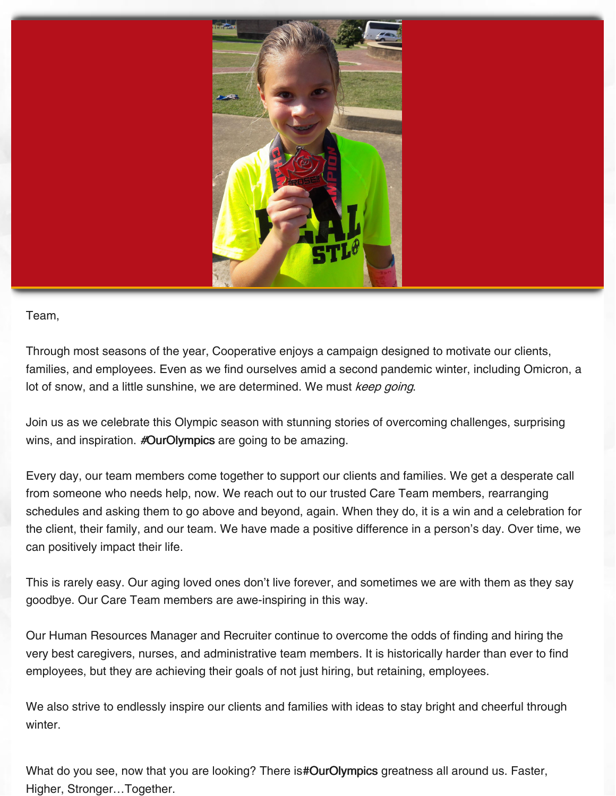

Team,

Through most seasons of the year, Cooperative enjoys a campaign designed to motivate our clients, families, and employees. Even as we find ourselves amid a second pandemic winter, including Omicron, a lot of snow, and a little sunshine, we are determined. We must keep going.

Join us as we celebrate this Olympic season with stunning stories of overcoming challenges, surprising wins, and inspiration. #OurOlympics are going to be amazing.

Every day, our team members come together to support our clients and families. We get a desperate call from someone who needs help, now. We reach out to our trusted Care Team members, rearranging schedules and asking them to go above and beyond, again. When they do, it is a win and a celebration for the client, their family, and our team. We have made a positive difference in a person's day. Over time, we can positively impact their life.

This is rarely easy. Our aging loved ones don't live forever, and sometimes we are with them as they say goodbye. Our Care Team members are awe-inspiring in this way.

Our Human Resources Manager and Recruiter continue to overcome the odds of finding and hiring the very best caregivers, nurses, and administrative team members. It is historically harder than ever to find employees, but they are achieving their goals of not just hiring, but retaining, employees.

We also strive to endlessly inspire our clients and families with ideas to stay bright and cheerful through winter.

What do you see, now that you are looking? There is#OurOlympics greatness all around us. Faster, Higher, Stronger…Together.